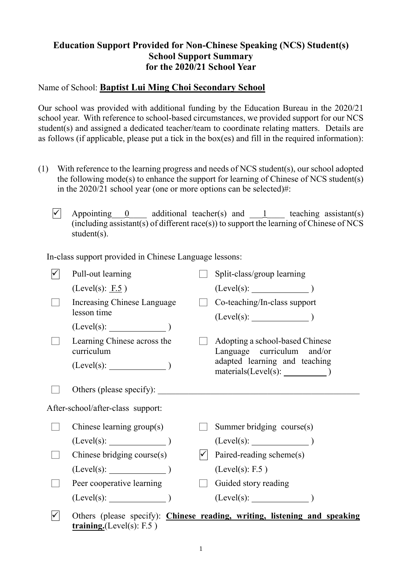## **Education Support Provided for Non-Chinese Speaking (NCS) Student(s) School Support Summary for the 2020/21 School Year**

## Name of School: **Baptist Lui Ming Choi Secondary School**

Our school was provided with additional funding by the Education Bureau in the 2020/21 school year. With reference to school-based circumstances, we provided support for our NCS student(s) and assigned a dedicated teacher/team to coordinate relating matters. Details are as follows (if applicable, please put a tick in the box(es) and fill in the required information):

- (1) With reference to the learning progress and needs of NCS student(s), our school adopted the following mode(s) to enhance the support for learning of Chinese of NCS student(s) in the 2020/21 school year (one or more options can be selected)#:
	- $\overline{\checkmark}$  Appointing 0 additional teacher(s) and 1 teaching assistant(s)  $(i\text{including } \overline{assistant(s)}\text{ of different } \text{race}(s))$  to support the learning of Chinese of NCS student(s).

In-class support provided in Chinese Language lessons:

| Pull-out learning                          | Split-class/group learning                                                |
|--------------------------------------------|---------------------------------------------------------------------------|
| (Level(s): E.5)                            | $(Level(s):$ $)$                                                          |
| Increasing Chinese Language<br>lesson time | Co-teaching/In-class support                                              |
|                                            |                                                                           |
| Learning Chinese across the<br>curriculum  | Adopting a school-based Chinese<br>Language curriculum and/or             |
| $(Level(s):$ $)$                           | adapted learning and teaching<br>$materials(Level(s): \_$                 |
| Others (please specify):                   |                                                                           |
| After-school/after-class support:          |                                                                           |
| Chinese learning $group(s)$                | Summer bridging course(s)                                                 |
| $(Level(s):$ (Level(s):                    | $(Level(s):$ (Level(s):                                                   |
| Chinese bridging course(s)                 | Paired-reading scheme(s)                                                  |
| $(Level(s):$ $)$                           | (Level(s): F.5)                                                           |
| Peer cooperative learning                  | Guided story reading                                                      |
| $(Level(s):$ $)$                           | $(Level(s):$ $)$                                                          |
|                                            | Others (please specify): Chinese reading, writing, listening and speaking |

**training.**(Level(s): F.5 )